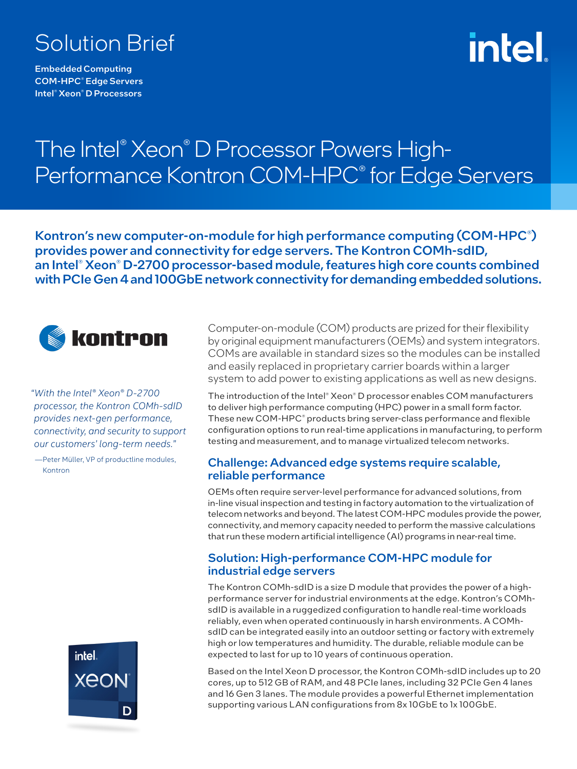# Solution Brief

Embedded Computing COM-HPC® Edge Servers Intel® Xeon® D Processors

# intel

# The Intel® Xeon® D Processor Powers High-Performance Kontron COM-HPC® for Edge Servers

Kontron's new computer-on-module for high performance computing (COM-HPC® ) provides power and connectivity for edge servers. The Kontron COMh-sdID, an Intel® Xeon® D-2700 processor-based module, features high core counts combined with PCIe Gen 4 and 100GbE network connectivity for demanding embedded solutions.



*"With the Intel® Xeon® D-2700 processor, the Kontron COMh-sdID provides next-gen performance, connectivity, and security to support our customers' long-term needs."*

—Peter Müller, VP of productline modules, Kontron



Computer-on-module (COM) products are prized for their flexibility by original equipment manufacturers (OEMs) and system integrators. COMs are available in standard sizes so the modules can be installed and easily replaced in proprietary carrier boards within a larger system to add power to existing applications as well as new designs.

The introduction of the Intel® Xeon® D processor enables COM manufacturers to deliver high performance computing (HPC) power in a small form factor. These new COM-HPC® products bring server-class performance and flexible configuration options to run real-time applications in manufacturing, to perform testing and measurement, and to manage virtualized telecom networks.

#### Challenge: Advanced edge systems require scalable, reliable performance

OEMs often require server-level performance for advanced solutions, from in-line visual inspection and testing in factory automation to the virtualization of telecom networks and beyond. The latest COM-HPC modules provide the power, connectivity, and memory capacity needed to perform the massive calculations that run these modern artificial intelligence (AI) programs in near-real time.

### Solution: High-performance COM-HPC module for industrial edge servers

The Kontron COMh-sdID is a size D module that provides the power of a highperformance server for industrial environments at the edge. Kontron's COMhsdID is available in a ruggedized configuration to handle real-time workloads reliably, even when operated continuously in harsh environments. A COMhsdID can be integrated easily into an outdoor setting or factory with extremely high or low temperatures and humidity. The durable, reliable module can be expected to last for up to 10 years of continuous operation.

Based on the Intel Xeon D processor, the Kontron COMh-sdID includes up to 20 cores, up to 512 GB of RAM, and 48 PCIe lanes, including 32 PCIe Gen 4 lanes and 16 Gen 3 lanes. The module provides a powerful Ethernet implementation supporting various LAN configurations from 8x 10GbE to 1x 100GbE.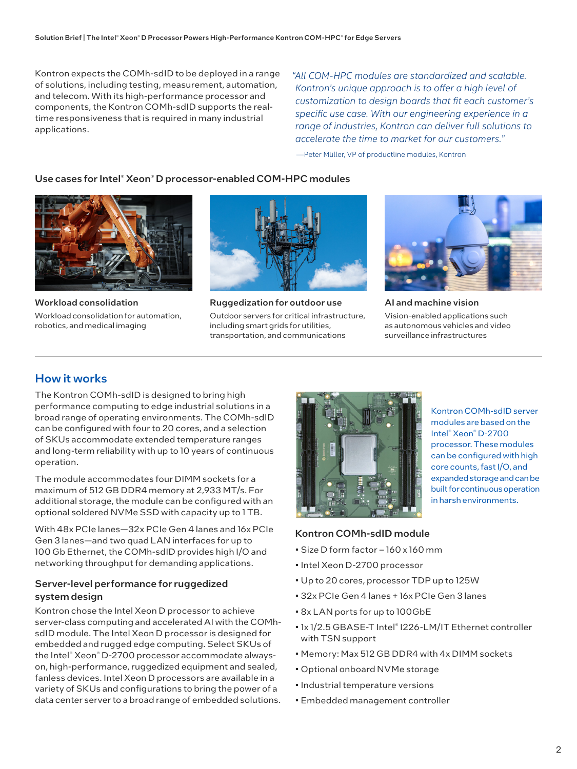Kontron expects the COMh-sdID to be deployed in a range of solutions, including testing, measurement, automation, and telecom. With its high-performance processor and components, the Kontron COMh-sdID supports the realtime responsiveness that is required in many industrial applications.

*"All COM-HPC modules are standardized and scalable. Kontron's unique approach is to offer a high level of customization to design boards that fit each customer's specific use case. With our engineering experience in a range of industries, Kontron can deliver full solutions to accelerate the time to market for our customers."*

—Peter Müller, VP of productline modules, Kontron

#### Use cases for Intel® Xeon® D processor-enabled COM-HPC modules



Workload consolidation Workload consolidation for automation, robotics, and medical imaging



Ruggedization for outdoor use Outdoor servers for critical infrastructure, including smart grids for utilities, transportation, and communications



AI and machine vision Vision-enabled applications such as autonomous vehicles and video surveillance infrastructures

## How it works

The Kontron COMh-sdID is designed to bring high performance computing to edge industrial solutions in a broad range of operating environments. The COMh-sdID can be configured with four to 20 cores, and a selection of SKUs accommodate extended temperature ranges and long-term reliability with up to 10 years of continuous operation.

The module accommodates four DIMM sockets for a maximum of 512 GB DDR4 memory at 2,933 MT/s. For additional storage, the module can be configured with an optional soldered NVMe SSD with capacity up to 1 TB.

With 48x PCIe lanes—32x PCIe Gen 4 lanes and 16x PCIe Gen 3 lanes—and two quad LAN interfaces for up to 100 Gb Ethernet, the COMh-sdID provides high I/O and networking throughput for demanding applications.

#### Server-level performance for ruggedized system design

Kontron chose the Intel Xeon D processor to achieve server-class computing and accelerated AI with the COMhsdID module. The Intel Xeon D processor is designed for embedded and rugged edge computing. Select SKUs of the Intel® Xeon® D-2700 processor accommodate alwayson, high-performance, ruggedized equipment and sealed, fanless devices. Intel Xeon D processors are available in a variety of SKUs and configurations to bring the power of a data center server to a broad range of embedded solutions.



Kontron COMh-sdID server modules are based on the Intel® Xeon® D-2700 processor. These modules can be configured with high core counts, fast I/O, and expanded storage and can be built for continuous operation in harsh environments.

#### Kontron COMh-sdID module

- Size D form factor 160 x 160 mm
- Intel Xeon D-2700 processor
- Up to 20 cores, processor TDP up to 125W
- 32x PCIe Gen 4 lanes + 16x PCIe Gen 3 lanes
- 8x LAN ports for up to 100GbE
- 1x 1/2.5 GBASE-T Intel® I226-LM/IT Ethernet controller with TSN support
- Memory: Max 512 GB DDR4 with 4x DIMM sockets
- Optional onboard NVMe storage
- Industrial temperature versions
- Embedded management controller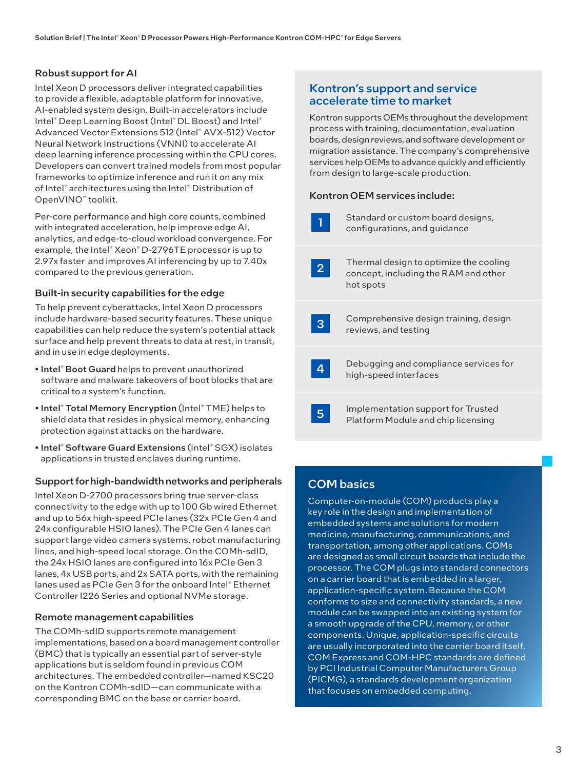#### Robust support for AI

Intel Xeon D processors deliver integrated capabilities to provide a flexible, adaptable platform for innovative, AI-enabled system design. Built-in accelerators include Intel® Deep Learning Boost (Intel® DL Boost) and Intel® Advanced Vector Extensions 512 (Intel® AVX-512) Vector Neural Network Instructions (VNNI) to accelerate AI deep learning inference processing within the CPU cores. Developers can convert trained models from most popular frameworks to optimize inference and run it on any mix of Intel® architectures using the Intel® Distribution of OpenVINO™ toolkit.

Per-core performance and high core counts, combined with integrated acceleration, help improve edge AI, analytics, and edge-to-cloud workload convergence. For example, the Intel® Xeon® D-2796TE processor is up to 2.97x faster and improves AI inferencing by up to 7.40x compared to the previous generation.

#### Built-in security capabilities for the edge

To help prevent cyberattacks, Intel Xeon D processors include hardware-based security features. These unique capabilities can help reduce the system's potential attack surface and help prevent threats to data at rest, in transit, and in use in edge deployments.

- Intel® Boot Guard helps to prevent unauthorized software and malware takeovers of boot blocks that are critical to a system's function.
- Intel® Total Memory Encryption (Intel® TME) helps to shield data that resides in physical memory, enhancing protection against attacks on the hardware.
- Intel® Software Guard Extensions (Intel® SGX) isolates applications in trusted enclaves during runtime.

#### Support for high-bandwidth networks and peripherals

Intel Xeon D-2700 processors bring true server-class connectivity to the edge with up to 100 Gb wired Ethernet and up to 56x high-speed PCIe lanes (32x PCIe Gen 4 and 24x configurable HSIO lanes). The PCIe Gen 4 lanes can support large video camera systems, robot manufacturing lines, and high-speed local storage. On the COMh-sdID, the 24x HSIO lanes are configured into 16x PCIe Gen 3 lanes, 4x USB ports, and 2x SATA ports, with the remaining lanes used as PCIe Gen 3 for the onboard Intel® Ethernet Controller I226 Series and optional NVMe storage.

#### Remote management capabilities

The COMh-sdID supports remote management implementations, based on a board management controller (BMC) that is typically an essential part of server-style applications but is seldom found in previous COM architectures. The embedded controller—named KSC20 on the Kontron COMh-sdID—can communicate with a corresponding BMC on the base or carrier board.

### Kontron's support and service accelerate time to market

Kontron supports OEMs throughout the development process with training, documentation, evaluation boards, design reviews, and software development or migration assistance. The company's comprehensive services help OEMs to advance quickly and efficiently from design to large-scale production.

#### Kontron OEM services include:



## COM basics

Computer-on-module (COM) products play a key role in the design and implementation of embedded systems and solutions for modern medicine, manufacturing, communications, and transportation, among other applications. COMs are designed as small circuit boards that include the processor. The COM plugs into standard connectors on a carrier board that is embedded in a larger, application-specific system. Because the COM conforms to size and connectivity standards, a new module can be swapped into an existing system for a smooth upgrade of the CPU, memory, or other components. Unique, application-specific circuits are usually incorporated into the carrier board itself. COM Express and COM-HPC standards are defined by PCI Industrial Computer Manufacturers Group (PICMG), a standards development organization that focuses on embedded computing.